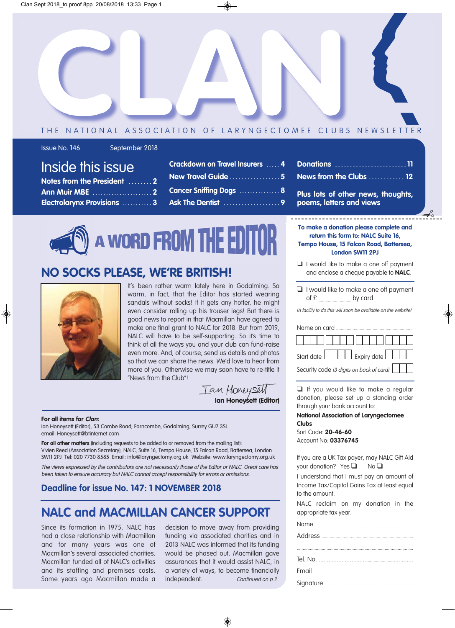Clan Sept 2018\_to proof 8pp 20/08/2018 13:33 Page 1

#### THE NATIONAL ASSOCIATION OF LARYNGECTOMEE CLUBS NEWSLETTER

Issue No. 146 September 2018

## Inside this issue

| Notes from the President 2     |  |  |
|--------------------------------|--|--|
| <u>Ann Mui</u> r MBE ……………………2 |  |  |
| Electrolarynx Provisions  3    |  |  |

| Crackdown on Travel Insurers  4 |  |
|---------------------------------|--|
| <b>New Travel Guide 5</b>       |  |
| <b>Cancer Sniffing Dogs  8</b>  |  |
| Ask The Dentist 9               |  |

**Donations . . . . . . . . . . . . . . . . . . . . . . . . 11 News from the Clubs . . . . . . . . . . . . 12 Plus lots of other news, thoughts,**

**poems, letters and views**

# A WORD FROM THE EDITOR

### **NO SOCKS PLEASE, WE'RE BRITISH!**



 $\bigcirc$ 

It's been rather warm lately here in Godalming. So warm, in fact, that the Editor has started wearing sandals without socks! If it gets any hotter, he might even consider rolling up his trouser legs! But there is good news to report in that Macmillan have agreed to make one final grant to NALC for 2018. But from 2019, NALC will have to be self-supporting. So it's time to think of all the ways you and your club can fund-raise even more. And, of course, send us details and photos so that we can share the news. We'd love to hear from more of you. Otherwise we may soon have to re-title it "News from the Club"!

Tan Honeysett **Ian Honeysett (Editor)**

#### **For all items for Clan:**

Ian Honeysett (Editor), 53 Combe Road, Farncombe, Godalming, Surrey GU7 3SL email: Honeysett@btinternet.com

For all other matters (including requests to be added to or removed from the mailing list): Vivien Reed (Association Secretary), NALC, Suite 16, Tempo House, 15 Falcon Road, Battersea, London SW11 2PJ Tel: 020 7730 8585 Email: info@laryngectomy.org.uk Website: www.laryngectomy.org.uk

The views expressed by the contributors are not necessarily those of the Editor or NALC. Great care has been taken to ensure accuracy but NALC cannot accept responsibility for errors or omissions.

#### **Deadline for issue No. 147: 1 NOVEMBER 2018**

### **NALC and MACMILLAN CANCER SUPPORT**

Since its formation in 1975, NALC has had a close relationship with Macmillan and for many years was one of Macmillan's several associated charities. Macmillan funded all of NALC's activities and its staffing and premises costs. Some years ago Macmillan made a

decision to move away from providing funding via associated charities and in 2013 NALC was informed that its funding would be phased out. Macmillan gave assurances that it would assist NALC, in a variety of ways, to become financially independent. Continued on p.2

**To make a donation please complete and return this form to: NALC Suite 16, Tempo House, 15 Falcon Road, Battersea, London SW11 2PJ**

 $-\xi$ 

- $\Box$  I would like to make a one off payment and enclose a cheque payable to **NALC**.
- $\Box$  I would like to make a one off payment  $of  $\epsilon$$  by card.

(A facility to do this will soon be available on the website)

Name on card Start date **Lubber 1** Expiry date

Security code (3 digits on back of card)

 $\Box$  If you would like to make a regular donation, please set up a standing order through your bank account to:

#### **National Association of Laryngectomee Clubs**

Sort Code: **20-46-60** Account No: **03376745**

If you are a UK Tax payer, may NALC Gift Aid your donation? Yes  $\Box$  No  $\Box$ 

I understand that I must pay an amount of Income Tax/Capital Gains Tax at least equal to the amount.

NALC reclaim on my donation in the appropriate tax year.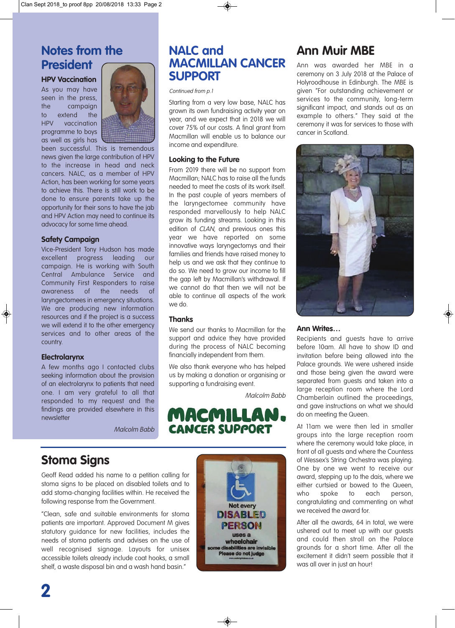### **Notes from the President**

#### **HPV Vaccination**

As you may have seen in the press, the campaign to extend the HPV vaccination programme to boys as well as girls has



been successful. This is tremendous news given the large contribution of HPV to the increase in head and neck cancers. NALC, as a member of HPV Action, has been working for some years to achieve this. There is still work to be done to ensure parents take up the opportunity for their sons to have the jab and HPV Action may need to continue its advocacy for some time ahead.

#### **Safety Campaign**

Vice-President Tony Hudson has made excellent progress leading our campaign. He is working with South Central Ambulance Service and Community First Responders to raise awareness of the needs of laryngectomees in emergency situations. We are producing new information resources and if the project is a success we will extend it to the other emergency services and to other areas of the country.

#### **Electrolarynx**

◈

A few months ago I contacted clubs seeking information about the provision of an electrolarynx to patients that need one. I am very grateful to all that responded to my request and the findings are provided elsewhere in this newsletter

Malcolm Babb

#### **NALC and MACMILLAN CANCER SUPPORT**

Continued from p.1

Starting from a very low base, NALC has grown its own fundraising activity year on year, and we expect that in 2018 we will cover 75% of our costs. A final grant from Macmillan will enable us to balance our income and expenditure.

#### **Looking to the Future**

From 2019 there will be no support from Macmillan; NALC has to raise all the funds needed to meet the costs of its work itself. In the past couple of years members of the laryngectomee community have responded marvellously to help NALC grow its funding streams. Looking in this edition of CLAN, and previous ones this year we have reported on some innovative ways laryngectomys and their families and friends have raised money to help us and we ask that they continue to do so. We need to grow our income to fill the gap left by Macmillan's withdrawal. If we cannot do that then we will not be able to continue all aspects of the work we do.

#### **Thanks**

We send our thanks to Macmillan for the support and advice they have provided during the process of NALC becoming financially independent from them.

We also thank everyone who has helped us by making a donation or organising or supporting a fundraising event.

Malcolm Babb

### MACMILLAN. **CANCER SUPPORT**

### **Stoma Signs**

Geoff Read added his name to a petition calling for stoma signs to be placed on disabled toilets and to add stoma-changing facilities within. He received the following response from the Government.

"Clean, safe and suitable environments for stoma patients are important. Approved Document M gives statutory guidance for new facilities, includes the needs of stoma patients and advises on the use of well recognised signage. Layouts for unisex accessible toilets already include coat hooks, a small shelf, a waste disposal bin and a wash hand basin."



◈

#### **Ann Muir MBE**

Ann was awarded her MBE in a ceremony on 3 July 2018 at the Palace of Holyroodhouse in Edinburgh. The MBE is given "For outstanding achievement or services to the community, long-term significant impact, and stands out as an example to others." They said at the ceremony it was for services to those with cancer in Scotland.



#### **Ann Writes…**

Recipients and guests have to arrive before 10am. All have to show ID and invitation before being allowed into the Palace grounds. We were ushered inside and those being given the award were separated from guests and taken into a large reception room where the Lord Chamberlain outlined the proceedings, and gave instructions on what we should do on meeting the Queen.

At 11am we were then led in smaller groups into the large reception room where the ceremony would take place, in front of all guests and where the Countess of Wessex's String Orchestra was playing. One by one we went to receive our award, stepping up to the dais, where we either curtsied or bowed to the Queen, who spoke to each person, congratulating and commenting on what we received the award for.

After all the awards, 64 in total, we were ushered out to meet up with our guests and could then stroll on the Palace grounds for a short time. After all the excitement it didn't seem possible that it was all over in just an hour!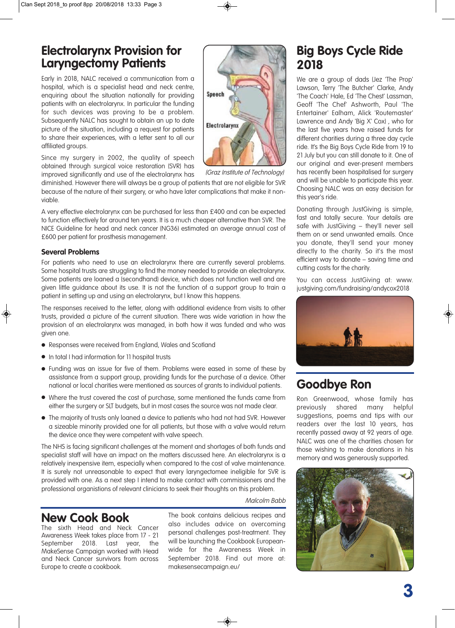### **Electrolarynx Provision for Laryngectomy Patients**

Early in 2018, NALC received a communication from a hospital, which is a specialist head and neck centre, enquiring about the situation nationally for providing patients with an electrolarynx. In particular the funding for such devices was proving to be a problem. Subsequently NALC has sought to obtain an up to date picture of the situation, including a request for patients to share their experiences, with a letter sent to all our affiliated groups.

Since my surgery in 2002, the quality of speech obtained through surgical voice restoration (SVR) has improved significantly and use of the electrolarynx has



Speech

diminished. However there will always be a group of patients that are not eligible for SVR because of the nature of their surgery, or who have later complications that make it nonviable.

A very effective electrolarynx can be purchased for less than £400 and can be expected to function effectively for around ten years. It is a much cheaper alternative than SVR. The NICE Guideline for head and neck cancer (NG36) estimated an average annual cost of £600 per patient for prosthesis management.

#### **Several Problems**

For patients who need to use an electrolarynx there are currently several problems. Some hospital trusts are struggling to find the money needed to provide an electrolarynx. Some patients are loaned a (secondhand) device, which does not function well and are given little guidance about its use. It is not the function of a support group to train a patient in setting up and using an electrolarynx, but I know this happens.

The responses received to the letter, along with additional evidence from visits to other trusts, provided a picture of the current situation. There was wide variation in how the provision of an electrolarynx was managed, in both how it was funded and who was given one.

- Responses were received from England, Wales and Scotland
- $\bullet$  In total I had information for 11 hospital trusts
- Funding was an issue for five of them. Problems were eased in some of these by assistance from a support group, providing funds for the purchase of a device. Other national or local charities were mentioned as sources of grants to individual patients.
- Where the trust covered the cost of purchase, some mentioned the funds came from either the surgery or SLT budgets, but in most cases the source was not made clear.
- The majority of trusts only loaned a device to patients who had not had SVR. However a sizeable minority provided one for all patients, but those with a valve would return the device once they were competent with valve speech.

The NHS is facing significant challenges at the moment and shortages of both funds and specialist staff will have an impact on the matters discussed here. An electrolarynx is a relatively inexpensive item, especially when compared to the cost of valve maintenance. It is surely not unreasonable to expect that every laryngectomee ineligible for SVR is provided with one. As a next step I intend to make contact with commissioners and the professional organistions of relevant clinicians to seek their thoughts on this problem.

### **New Cook Book**

The sixth Head and Neck Cancer Awareness Week takes place from 17 - 21 September 2018. Last year, the MakeSense Campaign worked with Head and Neck Cancer survivors from across Europe to create a cookbook.

The book contains delicious recipes and also includes advice on overcoming personal challenges post-treatment. They will be launching the Cookbook Europeanwide for the Awareness Week in September 2018. Find out more at: makesensecampaign.eu/

◈

Malcolm Babb

### **Big Boys Cycle Ride 2018**

We are a group of dads (Jez 'The Prop' Lawson, Terry 'The Butcher' Clarke, Andy 'The Coach' Hale, Ed 'The Chest' Lassman, Geoff 'The Chef' Ashworth, Paul 'The Entertainer' Ealham, Alick 'Routemaster' Lawrence and Andy 'Big X' Cox) , who for the last five years have raised funds for different charities during a three day cycle ride. It's the Big Boys Cycle Ride from 19 to 21 July but you can still donate to it. One of our original and ever-present members has recently been hospitalised for surgery and will be unable to participate this year. Choosing NALC was an easy decision for this year's ride.

Donating through JustGiving is simple, fast and totally secure. Your details are safe with JustGiving – they'll never sell them on or send unwanted emails. Once you donate, they'll send your money directly to the charity. So it's the most efficient way to donate – saving time and cutting costs for the charity.

You can access JustGiving at: www. justgiving.com/fundraising/andycox2018



### **Goodbye Ron**

Ron Greenwood, whose family has previously shared many helpful suggestions, poems and tips with our readers over the last 10 years, has recently passed away at 92 years of age. NALC was one of the charities chosen for those wishing to make donations in his memory and was generously supported.

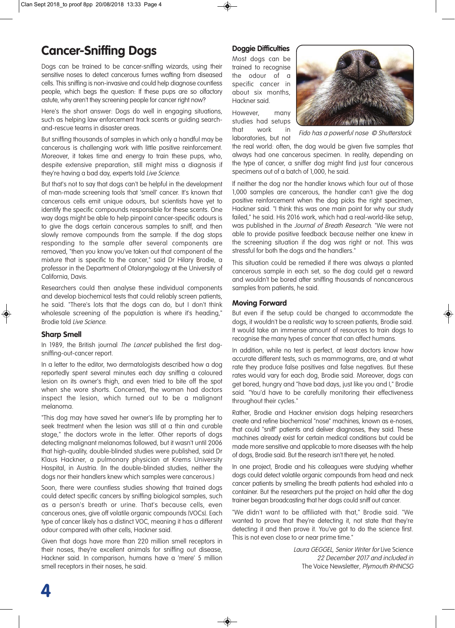### **Cancer-Sniffing Dogs**

Dogs can be trained to be cancer-sniffing wizards, using their sensitive noses to detect cancerous fumes wafting from diseased cells. This sniffing is non-invasive and could help diagnose countless people, which begs the question: If these pups are so olfactory astute, why aren't they screening people for cancer right now?

Here's the short answer: Dogs do well in engaging situations, such as helping law enforcement track scents or guiding searchand-rescue teams in disaster areas.

But sniffing thousands of samples in which only a handful may be cancerous is challenging work with little positive reinforcement. Moreover, it takes time and energy to train these pups, who, despite extensive preparation, still might miss a diagnosis if they're having a bad day, experts told Live Science.

But that's not to say that dogs can't be helpful in the development of man-made screening tools that 'smell' cancer. It's known that cancerous cells emit unique odours, but scientists have yet to identify the specific compounds responsible for these scents. One way dogs might be able to help pinpoint cancer-specific odours is to give the dogs certain cancerous samples to sniff, and then slowly remove compounds from the sample. If the dog stops responding to the sample after several components are removed, "then you know you've taken out that component of the mixture that is specific to the cancer," said Dr Hilary Brodie, a professor in the Department of Otolaryngology at the University of California, Davis.

Researchers could then analyse these individual components and develop biochemical tests that could reliably screen patients, he said. "There's lots that the dogs can do, but I don't think wholesale screening of the population is where it's heading," Brodie told Live Science.

#### **Sharp Smell**

**4**

In 1989, the British journal The Lancet published the first dogsniffing-out-cancer report.

In a letter to the editor, two dermatologists described how a dog reportedly spent several minutes each day sniffing a coloured lesion on its owner's thigh, and even tried to bite off the spot when she wore shorts. Concerned, the woman had doctors inspect the lesion, which turned out to be a malignant melanoma.

"This dog may have saved her owner's life by prompting her to seek treatment when the lesion was still at a thin and curable stage," the doctors wrote in the letter. Other reports of dogs detecting malignant melanomas followed, but it wasn't until 2006 that high-quality, double-blinded studies were published, said Dr Klaus Hackner, a pulmonary physician at Krems University Hospital, in Austria. (In the double-blinded studies, neither the dogs nor their handlers knew which samples were cancerous.)

Soon, there were countless studies showing that trained dogs could detect specific cancers by sniffing biological samples, such as a person's breath or urine. That's because cells, even cancerous ones, give off volatile organic compounds (VOCs). Each type of cancer likely has a distinct VOC, meaning it has a different odour compared with other cells, Hackner said.

Given that dogs have more than 220 million smell receptors in their noses, they're excellent animals for sniffing out disease, Hackner said. In comparison, humans have a 'mere' 5 million smell receptors in their noses, he said.

#### **Doggie Difficulties**

Most dogs can be trained to recognise the odour of a specific cancer in about six months, Hackner said.

However, many studies had setups that work in laboratories, but not



Fido has a powerful nose © Shutterstock

the real world: often, the dog would be given five samples that always had one cancerous specimen. In reality, depending on the type of cancer, a sniffer dog might find just four cancerous specimens out of a batch of 1,000, he said.

If neither the dog nor the handler knows which four out of those 1,000 samples are cancerous, the handler can't give the dog positive reinforcement when the dog picks the right specimen, Hackner said. "I think this was one main point for why our study failed," he said. His 2016 work, which had a real-world-like setup, was published in the Journal of Breath Research. "We were not able to provide positive feedback because neither one knew in the screening situation if the dog was right or not. This was stressful for both the dogs and the handlers."

This situation could be remedied if there was always a planted cancerous sample in each set, so the dog could get a reward and wouldn't be bored after sniffing thousands of noncancerous samples from patients, he said.

#### **Moving Forward**

◈

But even if the setup could be changed to accommodate the dogs, it wouldn't be a realistic way to screen patients, Brodie said. It would take an immense amount of resources to train dogs to recognise the many types of cancer that can affect humans.

In addition, while no test is perfect, at least doctors know how accurate different tests, such as mammograms, are, and at what rate they produce false positives and false negatives. But these rates would vary for each dog, Brodie said. Moreover, dogs can get bored, hungry and "have bad days, just like you and I," Brodie said. "You'd have to be carefully monitoring their effectiveness throughout their cycles."

Rather, Brodie and Hackner envision dogs helping researchers create and refine biochemical "nose" machines, known as e-noses, that could "sniff" patients and deliver diagnoses, they said. These machines already exist for certain medical conditions but could be made more sensitive and applicable to more diseases with the help of dogs, Brodie said. But the research isn't there yet, he noted.

In one project, Brodie and his colleagues were studying whether dogs could detect volatile organic compounds from head and neck cancer patients by smelling the breath patients had exhaled into a container. But the researchers put the project on hold after the dog trainer began broadcasting that her dogs could sniff out cancer.

"We didn't want to be affiliated with that," Brodie said. "We wanted to prove that they're detecting it, not state that they're detecting it and then prove it. You've got to do the science first. This is not even close to or near prime time."

> Laura GEGGEL, Senior Writer for Live Science 22 December 2017 and included in The Voice Newsletter, Plymouth RHNCSG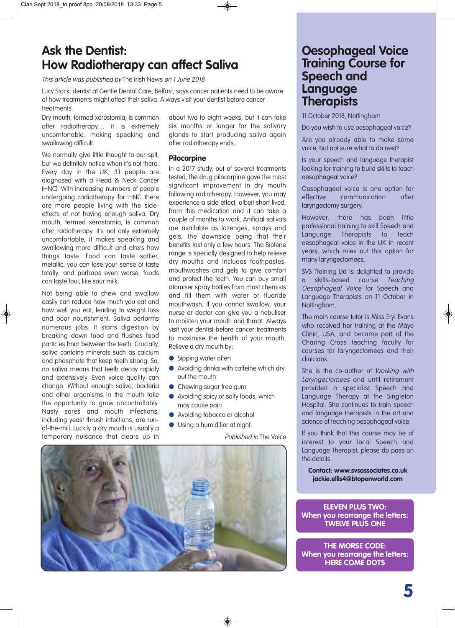### **Ask the Dentist: How Radiotherapy can affect Saliva**

This article was published by The Irish News on 1 June 2018

Lucy Stock, dentist at Gentle Dental Care, Belfast, says cancer patients need to be aware of how treatments might affect their saliva. Always visit your dentist before cancer treatments.

Dry mouth, termed xerostomia, is common after radiotherapy… it is extremely uncomfortable, making speaking and swallowing difficult.

We normally give little thought to our spit, but we definitely notice when it's not there. Every day in the UK, 31 people are diagnosed with a Head & Neck Cancer (HNC). With increasing numbers of people undergoing radiotherapy for HNC there are more people living with the sideeffects of not having enough saliva. Dry mouth, termed xerostomia, is common after radiotherapy. It's not only extremely uncomfortable, it makes speaking and swallowing more difficult and alters how things taste. Food can taste saltier, metallic; you can lose your sense of taste totally; and perhaps even worse, foods can taste foul, like sour milk.

Not being able to chew and swallow easily can reduce how much you eat and how well you eat, leading to weight loss and poor nourishment. Saliva performs numerous jobs. It starts digestion by breaking down food and flushes food particles from between the teeth. Crucially, saliva contains minerals such as calcium and phosphate that keep teeth strong. So, no saliva means that teeth decay rapidly and extensively. Even voice quality can change. Without enough saliva, bacteria and other organisms in the mouth take the opportunity to grow uncontrollably. Nasty sores and mouth infections, including yeast thrush infections, are runof-the-mill. Luckily a dry mouth is usually a temporary nuisance that clears up in

about two to eight weeks, but it can take six months or longer for the salivary glands to start producing saliva again after radiotherapy ends.

#### **Pilocarpine**

In a 2017 study, out of several treatments tested, the drug pilocarpine gave the most significant improvement in dry mouth following radiotherapy. However, you may experience a side effect, albeit short lived, from this medication and it can take a couple of months to work. Artificial saliva's are available as lozenges, sprays and gels, the downside being that their benefits last only a few hours. The Biotene range is specially designed to help relieve dry mouths and includes toothpastes, mouthwashes and gels to give comfort and protect the teeth. You can buy small atomiser spray bottles from most chemists and fill them with water or fluoride mouthwash. If you cannot swallow, your nurse or doctor can give you a nebuliser to moisten your mouth and throat. Always visit your dentist before cancer treatments to maximise the health of your mouth. Relieve a dry mouth by:

- **Sipping water often**
- **•** Avoiding drinks with caffeine which dry out the mouth
- **•** Chewing sugar free gum
- Avoiding spicy or salty foods, which may cause pain
- Avoiding tobacco or alcohol
- **ID** Using a humidifier at night.

Published in The Voice



#### **Oesophageal Voice Training Course for Speech and Language Therapists**

11 October 2018, Nottingham

Do you wish to use oesophageal voice?

Are you already able to make some voice, but not sure what to do next?

Is your speech and language therapist looking for training to build skills to teach oesophageal voice?

Oesophageal voice is one option for effective communication after laryngectomy surgery.

However, there has been little professional training to skill Speech and Language Therapists to teach oesophageal voice in the UK in recent years, which rules out this option for many laryngectomees.

SVS Training Ltd is delighted to provide a skills-based course Teaching Oesophageal Voice for Speech and Language Therapists on 11 October in Nottingham.

The main course tutor is Miss Eryl Evans who received her training at the Mayo Clinic, USA, and became part of the Charing Cross teaching faculty for courses for laryngectomees and their clinicians.

She is the co-author of Working with Laryngectomees and until retirement provided a specialist Speech and Language Therapy at the Singleton Hospital. She continues to train speech and language therapists in the art and science of teaching oesophageal voice.

If you think that this course may be of interest to your local Speech and Language Therapist, please do pass on the details.

**Contact: www.svsassociates.co.uk jackie.ellis4@btopenworld.com**

**ELEVEN PLUS TWO: When you rearrange the letters: TWELVE PLUS ONE**

**THE MORSE CODE: When you rearrange the letters: HERE COME DOTS**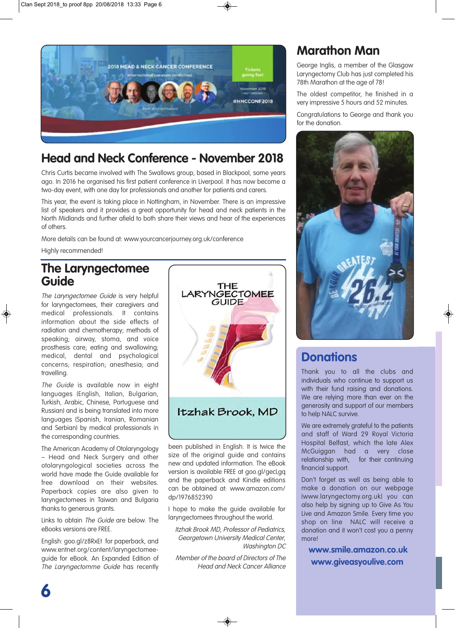

### **Head and Neck Conference - November 2018**

Chris Curtis became involved with The Swallows group, based in Blackpool, some years ago. In 2016 he organised his first patient conference in Liverpool. It has now become a two-day event, with one day for professionals and another for patients and carers.

This year, the event is taking place in Nottingham, in November. There is an impressive list of speakers and it provides a great opportunity for head and neck patients in the North Midlands and further afield to both share their views and hear of the experiences of others.

More details can be found at: www.yourcancerjourney.org.uk/conference

Highly recommended!

### **The Laryngectomee Guide**

The Laryngectomee Guide is very helpful for laryngectomees, their caregivers and medical professionals. It contains information about the side effects of radiation and chemotherapy; methods of speaking; airway, stoma, and voice prosthesis care; eating and swallowing; medical, dental and psychological concerns; respiration; anesthesia; and travelling.

The Guide is available now in eight languages (English, Italian, Bulgarian, Turkish, Arabic, Chinese, Portuguese and Russian) and is being translated into more languages (Spanish, Iranian, Romanian and Serbian) by medical professionals in the corresponding countries.

The American Academy of Otolaryngology – Head and Neck Surgery and other otolaryngological societies across the world have made the Guide available for free download on their websites. Paperback copies are also given to laryngectomees in Taiwan and Bulgaria thanks to generous grants.

Links to obtain The Guide are below. The eBooks versions are FREE.

English: goo.gl/z8RxEt for paperback, and www.entnet.org/content/laryngectomeeguide for eBook. An Expanded Edition of The Laryngectomme Guide has recently



been published in English. It is twice the size of the original guide and contains new and updated information. The eBook version is available FREE at goo.gl/gecLgq and the paperback and Kindle editions can be obtained at: www.amazon.com/ dp/1976852390

I hope to make the guide available for laryngectomees throughout the world.

Itzhak Brook MD, Professor of Pediatrics, Georgetown University Medical Center, Washington DC

Member of the board of Directors of The Head and Neck Cancer Alliance

### **Marathon Man**

George Inglis, a member of the Glasgow Laryngectomy Club has just completed his 78th Marathon at the age of 78!

The oldest competitor, he finished in a very impressive 5 hours and 52 minutes.

Congratulations to George and thank you for the donation.



### **Donations**

Thank you to all the clubs and individuals who continue to support us with their fund raising and donations. We are relying more than ever on the generosity and support of our members to help NALC survive.

We are extremely grateful to the patients and staff of Ward 29 Royal Victoria Hospital Belfast, which the late Alex McGuiggan had a very close relationship with, for their continuing financial support.

Don't forget as well as being able to make a donation on our webpage (www.laryngectomy.org.uk) you can also help by signing up to Give As You Live and Amazon Smile. Every time you shop on line NALC will receive a donation and it won't cost you a penny more!

#### **www.smile.amazon.co.uk www.giveasyoulive.com**